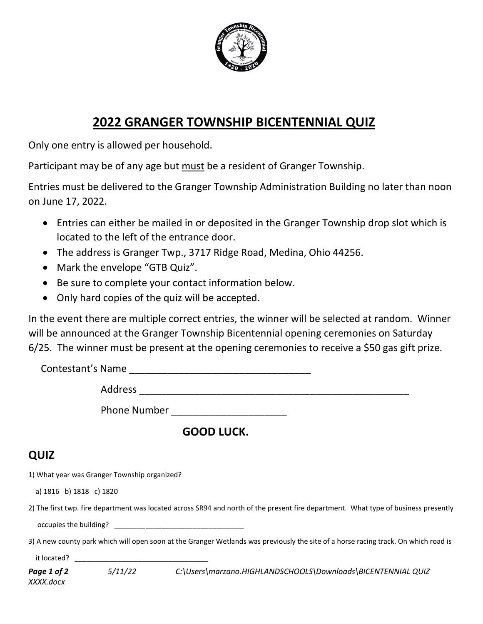

## **2022 GRANGER TOWNSHIP BICENTENNIAL QUIZ**

Only one entry is allowed per household.

Participant may be of any age but must be a resident of Granger Township.

Entries must be delivered to the Granger Township Administration Building no later than noon on June 17, 2022.

- Entries can either be mailed in or deposited in the Granger Township drop slot which is located to the left of the entrance door.
- The address is Granger Twp., 3717 Ridge Road, Medina, Ohio 44256.
- Mark the envelope "GTB Quiz".
- Be sure to complete your contact information below.
- Only hard copies of the quiz will be accepted.

In the event there are multiple correct entries, the winner will be selected at random. Winner will be announced at the Granger Township Bicentennial opening ceremonies on Saturday 6/25. The winner must be present at the opening ceremonies to receive a \$50 gas gift prize.

 Contestant's Name \_\_\_\_\_\_\_\_\_\_\_\_\_\_\_\_\_\_\_\_\_\_\_\_\_\_\_\_\_\_\_\_\_ Address \_\_\_\_\_\_\_\_\_\_\_\_\_\_\_\_\_\_\_\_\_\_\_\_\_\_\_\_\_\_\_\_\_\_\_\_\_\_\_\_\_\_\_\_\_\_\_\_\_

Phone Number \_\_\_\_\_\_\_\_\_\_\_\_\_\_\_\_\_\_\_\_\_

 **GOOD LUCK.**

## **QUIZ**

1) What year was Granger Township organized?

a) 1816 b) 1818 c) 1820

2) The first twp. fire department was located across SR94 and north of the present fire department. What type of business presently occupies the building?

3) A new county park which will open soon at the Granger Wetlands was previously the site of a horse racing track. On which road is

it located? \_\_\_\_\_\_\_\_\_\_\_\_\_\_\_\_\_\_\_\_\_\_\_\_\_\_\_\_\_\_\_\_\_\_

| Page 1 of 2 | 5/11/22 | C:\Users\marzano.HIGHLANDSCHOOLS\Downloads\BICENTENNIAL QUIZ |
|-------------|---------|--------------------------------------------------------------|
| XXXX.docx   |         |                                                              |